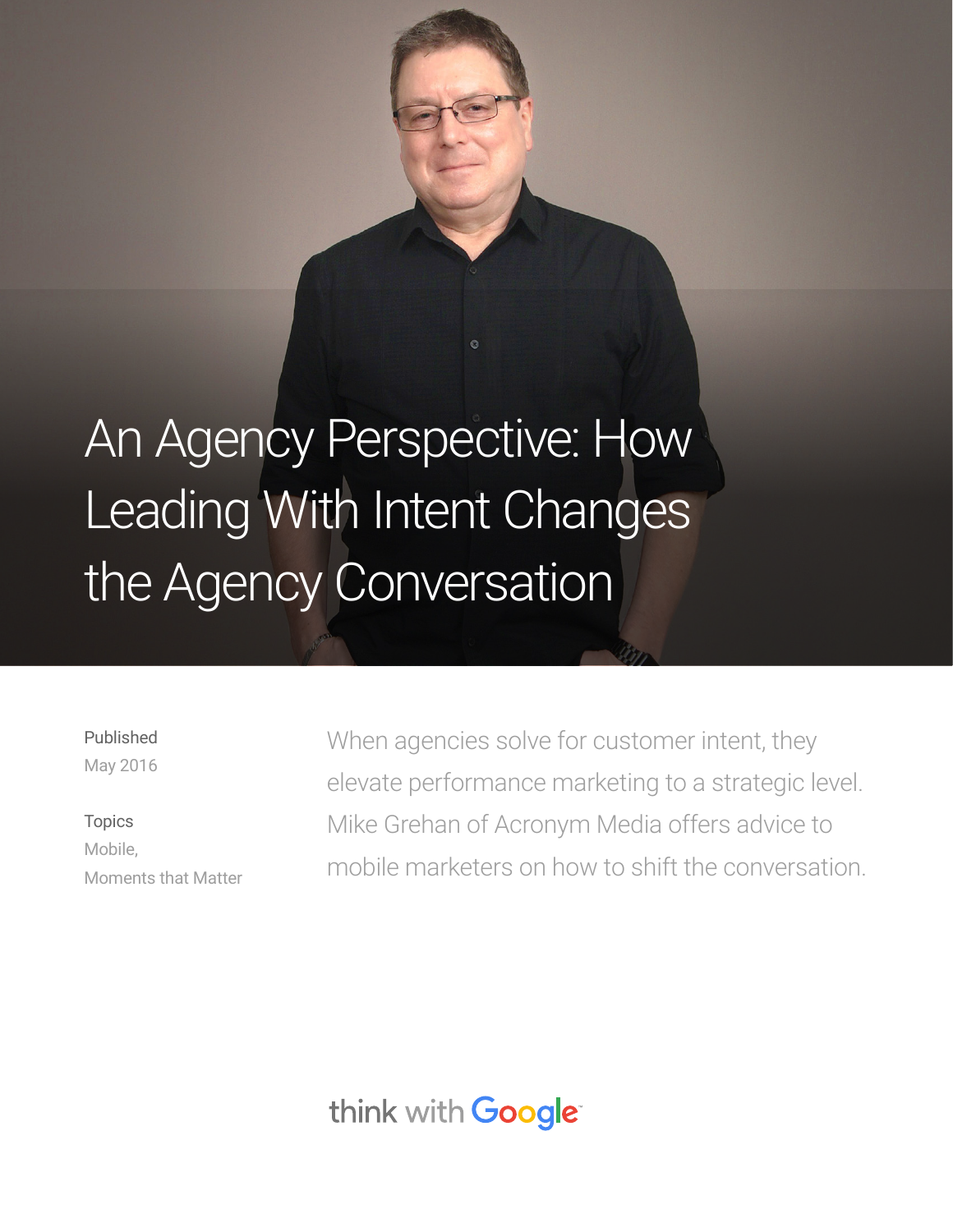# An Agency Perspective: How Leading With Intent Changes the Agency Conversation

Published May 2016

# Topics Mobile, Moments that Matter

When agencies solve for customer intent, they elevate performance marketing to a strategic level. Mike Grehan of Acronym Media offers advice to mobile marketers on how to shift the conversation.

think with Google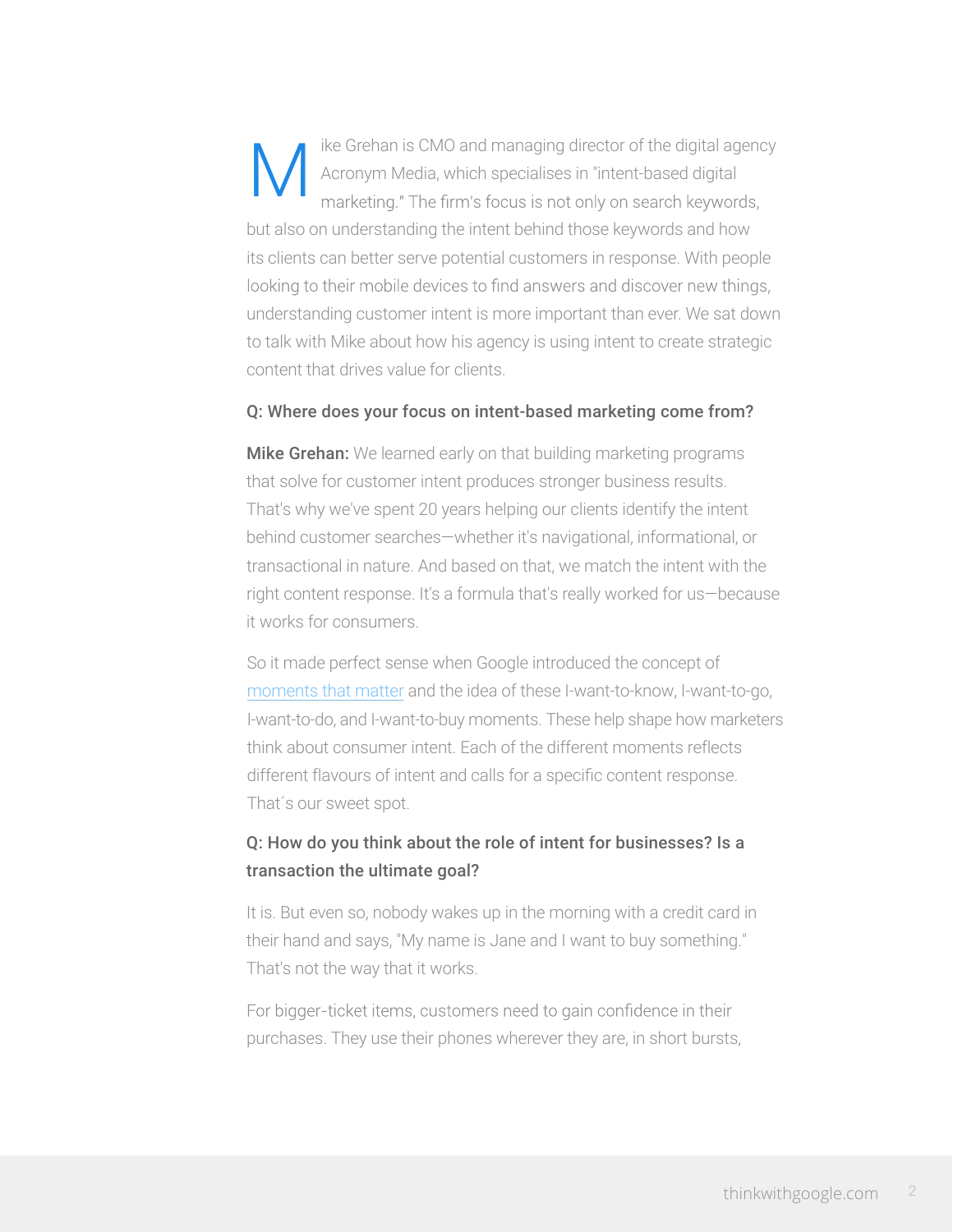ike Grehan is CMO and managing director of the digital agency M Acronym Media, which specialises in "intent-based digital marketing." The firm's focus is not only on search keywords, but also on understanding the intent behind those keywords and how its clients can better serve potential customers in response. With people looking to their mobile devices to find answers and discover new things, understanding customer intent is more important than ever. We sat down to talk with Mike about how his agency is using intent to create strategic content that drives value for clients.

#### Q: Where does your focus on intent-based marketing come from?

**Mike Grehan:** We learned early on that building marketing programs that solve for customer intent produces stronger business results. That's why we've spent 20 years helping our clients identify the intent behind customer searches—whether it's navigational, informational, or transactional in nature. And based on that, we match the intent with the right content response. It's a formula that's really worked for us—because it works for consumers.

So it made perfect sense when Google introduced the concept of [moments that matter](https://www.thinkwithgoogle.com/intl/en-gb/topics/moments-that-matter.html) and the idea of these I-want-to-know, I-want-to-go, I-want-to-do, and I-want-to-buy moments. These help shape how marketers think about consumer intent. Each of the different moments reflects different flavours of intent and calls for a specific content response. That´s our sweet spot.

## Q: How do you think about the role of intent for businesses? Is a transaction the ultimate goal?

It is. But even so, nobody wakes up in the morning with a credit card in their hand and says, "My name is Jane and I want to buy something." That's not the way that it works.

For bigger-ticket items, customers need to gain confidence in their purchases. They use their phones wherever they are, in short bursts,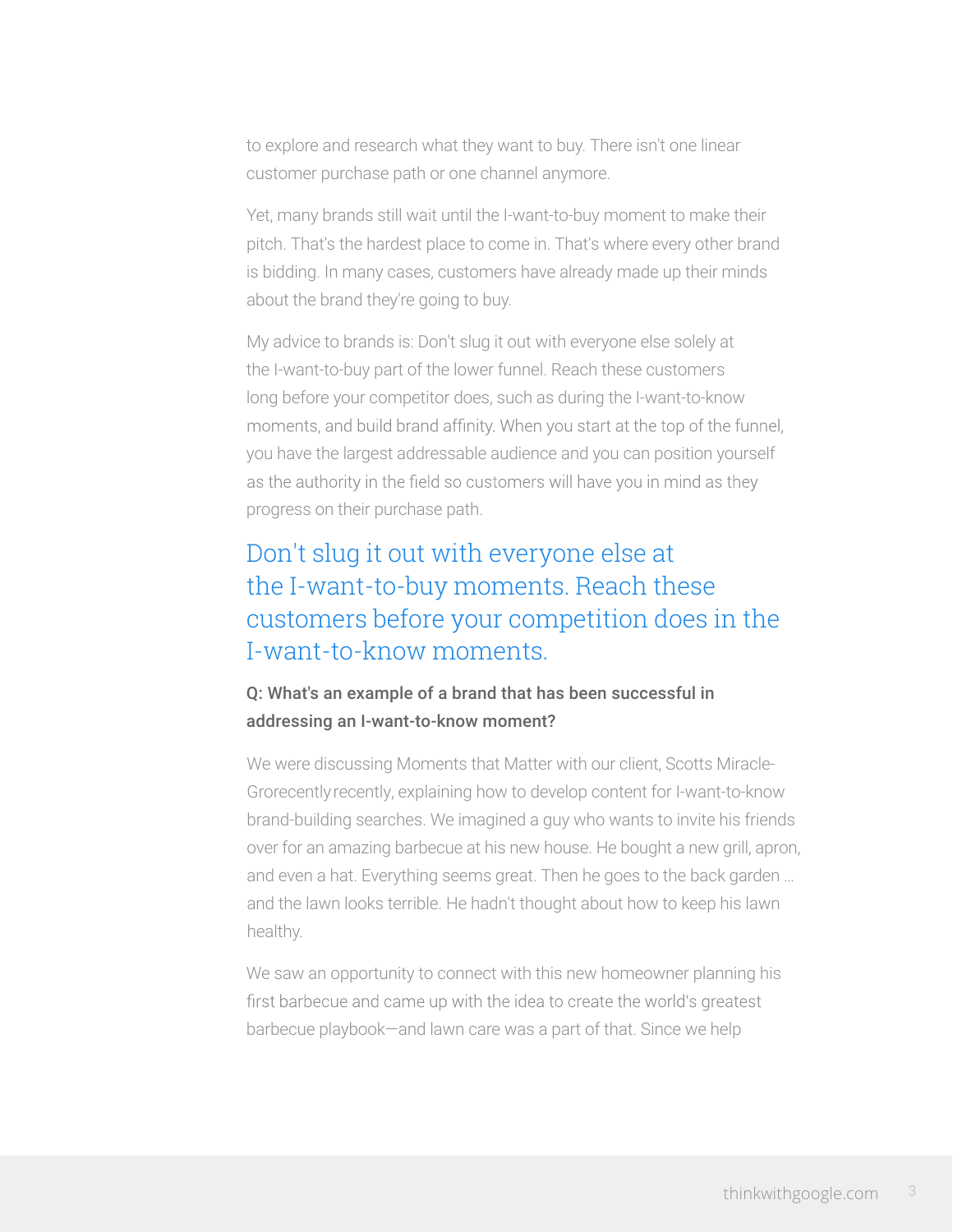to explore and research what they want to buy. There isn't one linear customer purchase path or one channel anymore.

Yet, many brands still wait until the I-want-to-buy moment to make their pitch. That's the hardest place to come in. That's where every other brand is bidding. In many cases, customers have already made up their minds about the brand they're going to buy.

My advice to brands is: Don't slug it out with everyone else solely at the I-want-to-buy part of the lower funnel. Reach these customers long before your competitor does, such as during the I-want-to-know moments, and build brand affinity. When you start at the top of the funnel, you have the largest addressable audience and you can position yourself as the authority in the field so customers will have you in mind as they progress on their purchase path.

# Don't slug it out with everyone else at the I-want-to-buy moments. Reach these customers before your competition does in the I-want-to-know moments.

## Q: What's an example of a brand that has been successful in addressing an I-want-to-know moment?

We were discussing Moments that Matter with our client, Scotts Miracle-Grorecently recently, explaining how to develop content for I-want-to-know brand-building searches. We imagined a guy who wants to invite his friends over for an amazing barbecue at his new house. He bought a new grill, apron, and even a hat. Everything seems great. Then he goes to the back garden … and the lawn looks terrible. He hadn't thought about how to keep his lawn healthy.

We saw an opportunity to connect with this new homeowner planning his first barbecue and came up with the idea to create the world's greatest barbecue playbook—and lawn care was a part of that. Since we help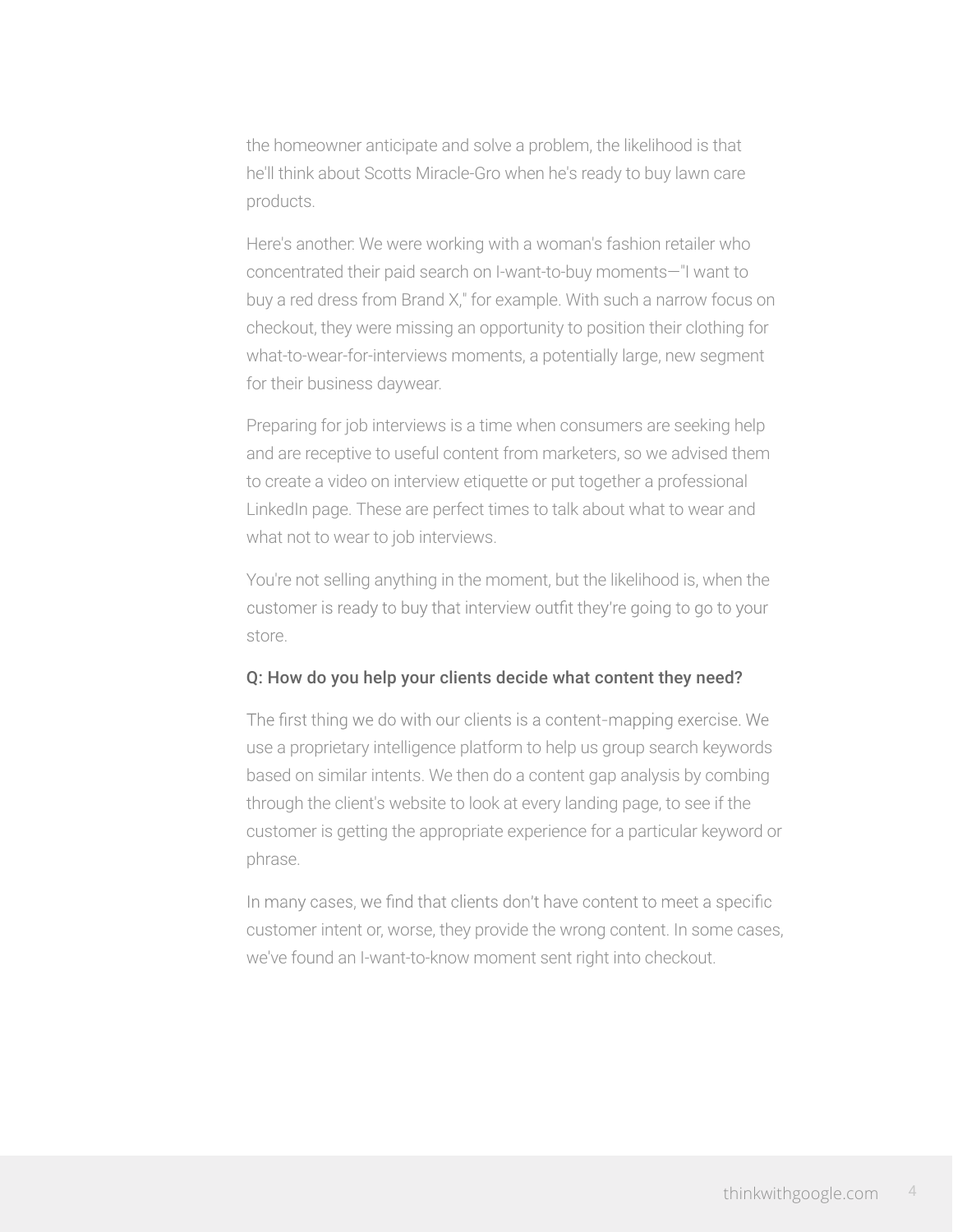the homeowner anticipate and solve a problem, the likelihood is that he'll think about Scotts Miracle-Gro when he's ready to buy lawn care products.

Here's another: We were working with a woman's fashion retailer who concentrated their paid search on I-want-to-buy moments—"I want to buy a red dress from Brand X," for example. With such a narrow focus on checkout, they were missing an opportunity to position their clothing for what-to-wear-for-interviews moments, a potentially large, new segment for their business daywear.

Preparing for job interviews is a time when consumers are seeking help and are receptive to useful content from marketers, so we advised them to create a video on interview etiquette or put together a professional LinkedIn page. These are perfect times to talk about what to wear and what not to wear to job interviews.

You're not selling anything in the moment, but the likelihood is, when the customer is ready to buy that interview outfit they're going to go to your store.

### Q: How do you help your clients decide what content they need?

The first thing we do with our clients is a content-mapping exercise. We use a proprietary intelligence platform to help us group search keywords based on similar intents. We then do a content gap analysis by combing through the client's website to look at every landing page, to see if the customer is getting the appropriate experience for a particular keyword or phrase.

In many cases, we find that clients don't have content to meet a specific customer intent or, worse, they provide the wrong content. In some cases, we've found an I-want-to-know moment sent right into checkout.